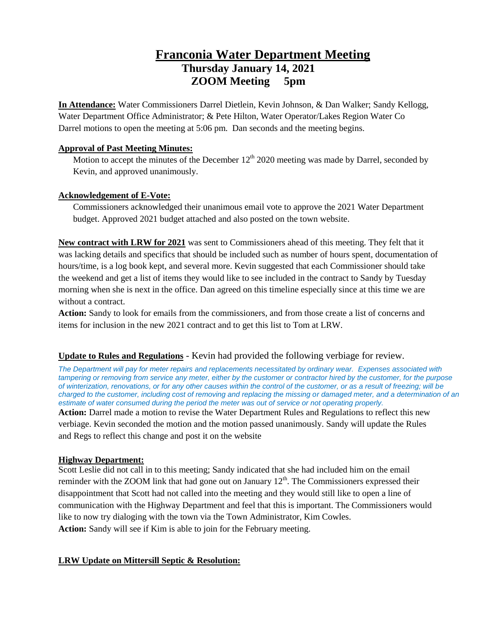# **Franconia Water Department Meeting Thursday January 14, 2021 ZOOM Meeting 5pm**

**In Attendance:** Water Commissioners Darrel Dietlein, Kevin Johnson, & Dan Walker; Sandy Kellogg, Water Department Office Administrator; & Pete Hilton, Water Operator/Lakes Region Water Co Darrel motions to open the meeting at 5:06 pm. Dan seconds and the meeting begins.

## **Approval of Past Meeting Minutes:**

Motion to accept the minutes of the December  $12^{th}$  2020 meeting was made by Darrel, seconded by Kevin, and approved unanimously.

## **Acknowledgement of E-Vote:**

Commissioners acknowledged their unanimous email vote to approve the 2021 Water Department budget. Approved 2021 budget attached and also posted on the town website.

**New contract with LRW for 2021** was sent to Commissioners ahead of this meeting. They felt that it was lacking details and specifics that should be included such as number of hours spent, documentation of hours/time, is a log book kept, and several more. Kevin suggested that each Commissioner should take the weekend and get a list of items they would like to see included in the contract to Sandy by Tuesday morning when she is next in the office. Dan agreed on this timeline especially since at this time we are without a contract.

**Action:** Sandy to look for emails from the commissioners, and from those create a list of concerns and items for inclusion in the new 2021 contract and to get this list to Tom at LRW.

## **Update to Rules and Regulations** - Kevin had provided the following verbiage for review.

*The Department will pay for meter repairs and replacements necessitated by ordinary wear. Expenses associated with tampering or removing from service any meter, either by the customer or contractor hired by the customer, for the purpose of winterization, renovations, or for any other causes within the control of the customer, or as a result of freezing; will be charged to the customer, including cost of removing and replacing the missing or damaged meter, and a determination of an estimate of water consumed during the period the meter was out of service or not operating properly.* **Action:** Darrel made a motion to revise the Water Department Rules and Regulations to reflect this new verbiage. Kevin seconded the motion and the motion passed unanimously. Sandy will update the Rules and Regs to reflect this change and post it on the website

## **Highway Department:**

Scott Leslie did not call in to this meeting; Sandy indicated that she had included him on the email reminder with the ZOOM link that had gone out on January  $12<sup>th</sup>$ . The Commissioners expressed their disappointment that Scott had not called into the meeting and they would still like to open a line of communication with the Highway Department and feel that this is important. The Commissioners would like to now try dialoging with the town via the Town Administrator, Kim Cowles. **Action:** Sandy will see if Kim is able to join for the February meeting.

## **LRW Update on Mittersill Septic & Resolution:**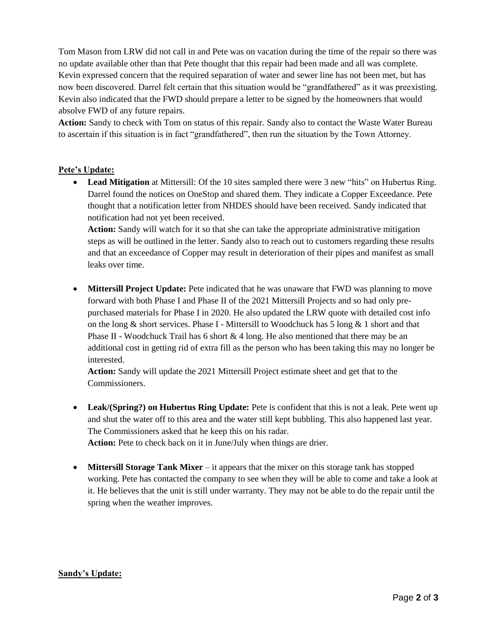Tom Mason from LRW did not call in and Pete was on vacation during the time of the repair so there was no update available other than that Pete thought that this repair had been made and all was complete. Kevin expressed concern that the required separation of water and sewer line has not been met, but has now been discovered. Darrel felt certain that this situation would be "grandfathered" as it was preexisting. Kevin also indicated that the FWD should prepare a letter to be signed by the homeowners that would absolve FWD of any future repairs.

**Action:** Sandy to check with Tom on status of this repair. Sandy also to contact the Waste Water Bureau to ascertain if this situation is in fact "grandfathered", then run the situation by the Town Attorney.

#### **Pete's Update:**

 **Lead Mitigation** at Mittersill: Of the 10 sites sampled there were 3 new "hits" on Hubertus Ring. Darrel found the notices on OneStop and shared them. They indicate a Copper Exceedance. Pete thought that a notification letter from NHDES should have been received. Sandy indicated that notification had not yet been received.

**Action:** Sandy will watch for it so that she can take the appropriate administrative mitigation steps as will be outlined in the letter. Sandy also to reach out to customers regarding these results and that an exceedance of Copper may result in deterioration of their pipes and manifest as small leaks over time.

 **Mittersill Project Update:** Pete indicated that he was unaware that FWD was planning to move forward with both Phase I and Phase II of the 2021 Mittersill Projects and so had only prepurchased materials for Phase I in 2020. He also updated the LRW quote with detailed cost info on the long & short services. Phase I - Mittersill to Woodchuck has 5 long  $\&$  1 short and that Phase II - Woodchuck Trail has 6 short  $\&$  4 long. He also mentioned that there may be an additional cost in getting rid of extra fill as the person who has been taking this may no longer be interested.

**Action:** Sandy will update the 2021 Mittersill Project estimate sheet and get that to the Commissioners.

- Leak/(Spring?) on Hubertus Ring Update: Pete is confident that this is not a leak. Pete went up and shut the water off to this area and the water still kept bubbling. This also happened last year. The Commissioners asked that he keep this on his radar. **Action:** Pete to check back on it in June/July when things are drier.
- **Mittersill Storage Tank Mixer** it appears that the mixer on this storage tank has stopped working. Pete has contacted the company to see when they will be able to come and take a look at it. He believes that the unit is still under warranty. They may not be able to do the repair until the spring when the weather improves.

#### **Sandy's Update:**